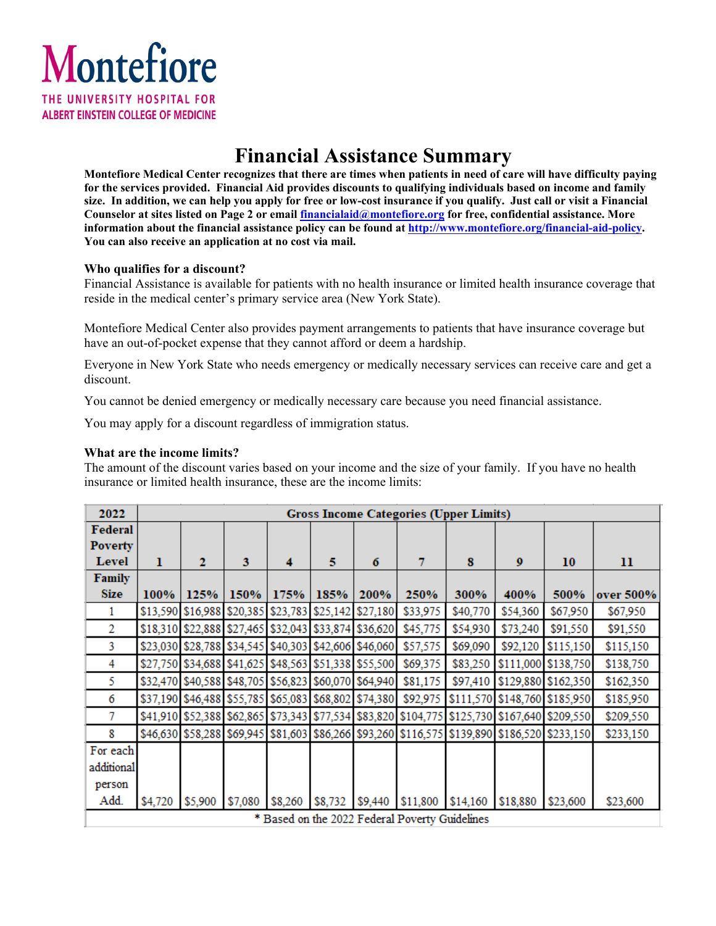

### **Financial Assistance Summary**

**Montefiore Medical Center recognizes that there are times when patients in need of care will have difficulty paying for the services provided. Financial Aid provides discounts to qualifying individuals based on income and family size. In addition, we can help you apply for free or low-cost insurance if you qualify. Just call or visit a Financial Counselor at sites listed on Page 2 or emai[l financialaid@montefiore.org](mailto:financialaid@montefiore.org) for free, confidential assistance. More information about the financial assistance policy can be found at [http://www.montefiore.org/financial-aid-policy.](http://www.montefiore.org/financial-aid-policy) You can also receive an application at no cost via mail.** 

#### **Who qualifies for a discount?**

Financial Assistance is available for patients with no health insurance or limited health insurance coverage that reside in the medical center's primary service area (New York State).

Montefiore Medical Center also provides payment arrangements to patients that have insurance coverage but have an out-of-pocket expense that they cannot afford or deem a hardship.

Everyone in New York State who needs emergency or medically necessary services can receive care and get a discount.

You cannot be denied emergency or medically necessary care because you need financial assistance.

You may apply for a discount regardless of immigration status.

#### **What are the income limits?**

The amount of the discount varies based on your income and the size of your family. If you have no health insurance or limited health insurance, these are the income limits:

| 2022                                           | <b>Gross Income Categories (Upper Limits)</b> |                                                       |         |         |         |         |          |                                                                                               |                               |                     |           |
|------------------------------------------------|-----------------------------------------------|-------------------------------------------------------|---------|---------|---------|---------|----------|-----------------------------------------------------------------------------------------------|-------------------------------|---------------------|-----------|
| Federal                                        |                                               |                                                       |         |         |         |         |          |                                                                                               |                               |                     |           |
| <b>Poverty</b>                                 |                                               |                                                       |         |         |         |         |          |                                                                                               |                               |                     |           |
| Level                                          | 1                                             | 2                                                     | 3       | 4       | 5       | 6       | 7        | 8                                                                                             | $\boldsymbol{9}$              | 10                  | 11        |
| Family                                         |                                               |                                                       |         |         |         |         |          |                                                                                               |                               |                     |           |
| <b>Size</b>                                    | 100%                                          | 125%                                                  | 150%    | 175%    | 185%    | 200%    | 250%     | 300%                                                                                          | 400%                          | 500%                | over 500% |
| 1                                              |                                               | \$13,590 \$16,988 \$20,385 \$23,783 \$25,142 \$27,180 |         |         |         |         | \$33,975 | \$40,770                                                                                      | \$54,360                      | \$67,950            | \$67,950  |
| 2                                              |                                               | \$18,310 \$22,888 \$27,465 \$32,043 \$33,874 \$36,620 |         |         |         |         | \$45,775 | \$54,930                                                                                      | \$73,240                      | \$91,550            | \$91,550  |
| 3                                              |                                               | \$23,030 \$28,788 \$34,545 \$40,303 \$42,606 \$46,060 |         |         |         |         | \$57,575 | \$69,090                                                                                      | \$92,120                      | \$115,150           | \$115,150 |
| 4                                              |                                               | \$27,750 \$34,688 \$41,625 \$48,563 \$51,338 \$55,500 |         |         |         |         | \$69,375 | \$83,250                                                                                      |                               | \$111,000 \$138,750 | \$138,750 |
| 5                                              |                                               | \$32,470 \$40,588 \$48,705 \$56,823 \$60,070 \$64,940 |         |         |         |         | \$81,175 | \$97,410                                                                                      | \$129,880 \$162,350           |                     | \$162,350 |
| 6                                              |                                               | \$37,190 \$46,488 \$55,785 \$65,083 \$68,802 \$74,380 |         |         |         |         | \$92,975 |                                                                                               | \$111,570 \$148,760 \$185,950 |                     | \$185,950 |
| 7                                              |                                               |                                                       |         |         |         |         |          | \$41,910 \$52,388 \$62,865 \$73,343 \$77,534 \$83,820 \$104,775 \$125,730 \$167,640 \$209,550 |                               |                     | \$209,550 |
| 8                                              |                                               |                                                       |         |         |         |         |          | \$46,630 \$58,288 \$69,945 \$81,603 \$86,266 \$93,260 \$116,575 \$139,890 \$186,520 \$233,150 |                               |                     | \$233,150 |
| For each                                       |                                               |                                                       |         |         |         |         |          |                                                                                               |                               |                     |           |
| additional                                     |                                               |                                                       |         |         |         |         |          |                                                                                               |                               |                     |           |
| person                                         |                                               |                                                       |         |         |         |         |          |                                                                                               |                               |                     |           |
| Add.                                           | \$4,720                                       | \$5,900                                               | \$7,080 | \$8,260 | \$8,732 | \$9,440 | \$11,800 | \$14,160                                                                                      | \$18,880                      | \$23,600            | \$23,600  |
| * Based on the 2022 Federal Poverty Guidelines |                                               |                                                       |         |         |         |         |          |                                                                                               |                               |                     |           |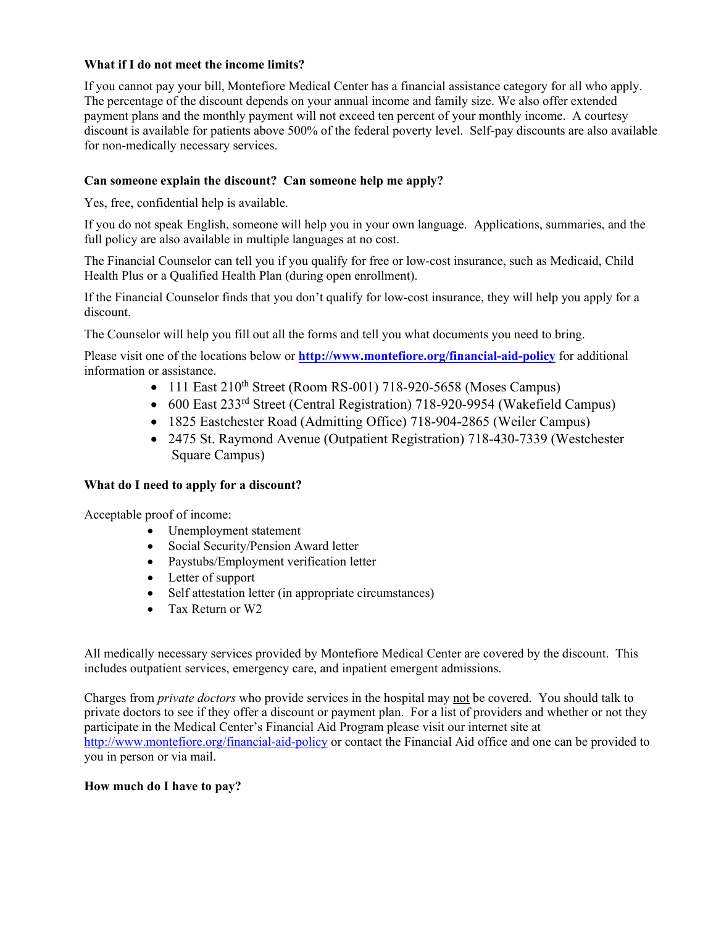#### **What if I do not meet the income limits?**

If you cannot pay your bill, Montefiore Medical Center has a financial assistance category for all who apply. The percentage of the discount depends on your annual income and family size. We also offer extended payment plans and the monthly payment will not exceed ten percent of your monthly income. A courtesy discount is available for patients above 500% of the federal poverty level. Self-pay discounts are also available for non-medically necessary services.

#### **Can someone explain the discount? Can someone help me apply?**

Yes, free, confidential help is available.

If you do not speak English, someone will help you in your own language. Applications, summaries, and the full policy are also available in multiple languages at no cost.

The Financial Counselor can tell you if you qualify for free or low-cost insurance, such as Medicaid, Child Health Plus or a Qualified Health Plan (during open enrollment).

If the Financial Counselor finds that you don't qualify for low-cost insurance, they will help you apply for a discount.

The Counselor will help you fill out all the forms and tell you what documents you need to bring.

Please visit one of the locations below or **<http://www.montefiore.org/financial-aid-policy>** for additional information or assistance.

- 111 East  $210^{th}$  Street (Room RS-001) 718-920-5658 (Moses Campus)
- 600 East 233<sup>rd</sup> Street (Central Registration) 718-920-9954 (Wakefield Campus)
- 1825 Eastchester Road (Admitting Office) 718-904-2865 (Weiler Campus)
- 2475 St. Raymond Avenue (Outpatient Registration) 718-430-7339 (Westchester Square Campus)

#### **What do I need to apply for a discount?**

Acceptable proof of income:

- Unemployment statement
- Social Security/Pension Award letter
- Paystubs/Employment verification letter
- Letter of support
- Self attestation letter (in appropriate circumstances)
- Tax Return or W2

All medically necessary services provided by Montefiore Medical Center are covered by the discount. This includes outpatient services, emergency care, and inpatient emergent admissions.

Charges from *private doctors* who provide services in the hospital may not be covered. You should talk to private doctors to see if they offer a discount or payment plan. For a list of providers and whether or not they participate in the Medical Center's Financial Aid Program please visit our internet site at <http://www.montefiore.org/financial-aid-policy> or contact the Financial Aid office and one can be provided to you in person or via mail.

#### **How much do I have to pay?**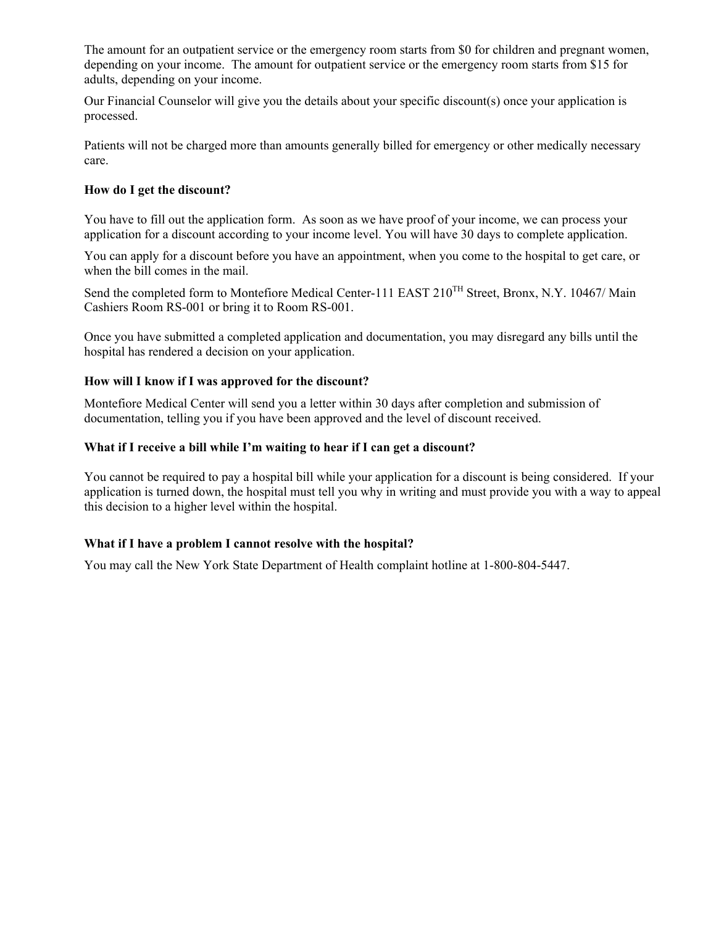The amount for an outpatient service or the emergency room starts from \$0 for children and pregnant women, depending on your income. The amount for outpatient service or the emergency room starts from \$15 for adults, depending on your income.

Our Financial Counselor will give you the details about your specific discount(s) once your application is processed.

Patients will not be charged more than amounts generally billed for emergency or other medically necessary care.

#### **How do I get the discount?**

You have to fill out the application form. As soon as we have proof of your income, we can process your application for a discount according to your income level. You will have 30 days to complete application.

You can apply for a discount before you have an appointment, when you come to the hospital to get care, or when the bill comes in the mail.

Send the completed form to Montefiore Medical Center-111 EAST 210<sup>TH</sup> Street, Bronx, N.Y. 10467/ Main Cashiers Room RS-001 or bring it to Room RS-001.

Once you have submitted a completed application and documentation, you may disregard any bills until the hospital has rendered a decision on your application.

#### **How will I know if I was approved for the discount?**

Montefiore Medical Center will send you a letter within 30 days after completion and submission of documentation, telling you if you have been approved and the level of discount received.

#### **What if I receive a bill while I'm waiting to hear if I can get a discount?**

You cannot be required to pay a hospital bill while your application for a discount is being considered. If your application is turned down, the hospital must tell you why in writing and must provide you with a way to appeal this decision to a higher level within the hospital.

#### **What if I have a problem I cannot resolve with the hospital?**

You may call the New York State Department of Health complaint hotline at 1-800-804-5447.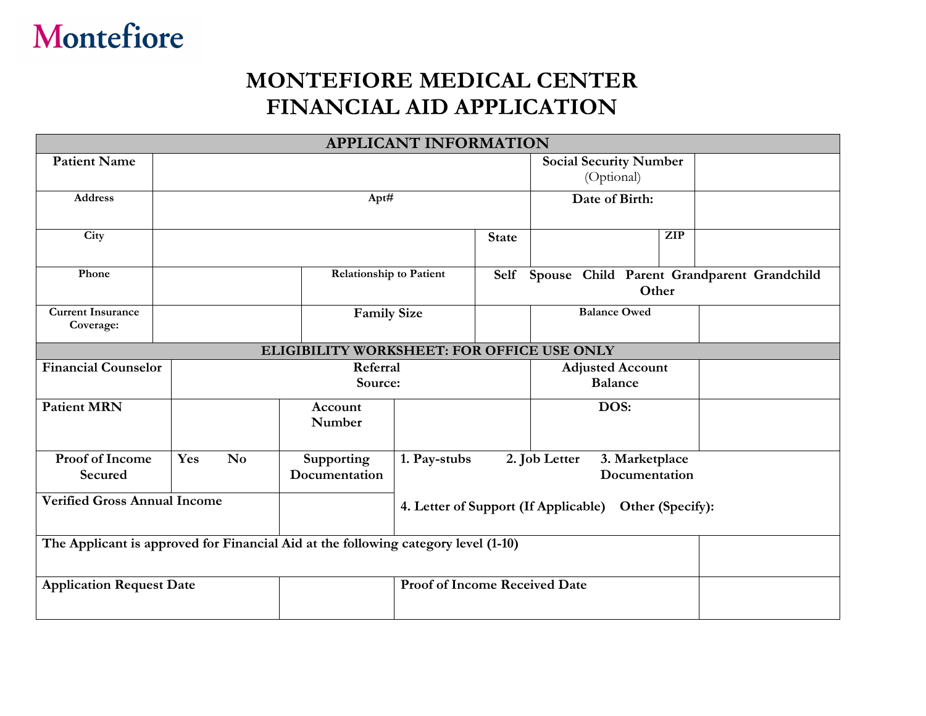# Montefiore

## **MONTEFIORE MEDICAL CENTER FINANCIAL AID APPLICATION**

| <b>APPLICANT INFORMATION</b>                                                       |                               |                             |                                                          |                                           |                                                  |                                                 |  |  |
|------------------------------------------------------------------------------------|-------------------------------|-----------------------------|----------------------------------------------------------|-------------------------------------------|--------------------------------------------------|-------------------------------------------------|--|--|
| <b>Patient Name</b>                                                                |                               |                             |                                                          |                                           | <b>Social Security Number</b><br>(Optional)      |                                                 |  |  |
| <b>Address</b>                                                                     |                               | Apt#                        |                                                          | Date of Birth:                            |                                                  |                                                 |  |  |
| City                                                                               |                               |                             |                                                          | <b>State</b>                              |                                                  | <b>ZIP</b>                                      |  |  |
| Phone                                                                              |                               |                             | <b>Relationship to Patient</b>                           |                                           |                                                  | Self Spouse Child Parent Grandparent Grandchild |  |  |
| <b>Current Insurance</b><br>Coverage:                                              |                               |                             | <b>Family Size</b>                                       |                                           | <b>Balance Owed</b>                              |                                                 |  |  |
| ELIGIBILITY WORKSHEET: FOR OFFICE USE ONLY                                         |                               |                             |                                                          |                                           |                                                  |                                                 |  |  |
| <b>Financial Counselor</b>                                                         |                               | Referral<br>Source:         |                                                          | <b>Adjusted Account</b><br><b>Balance</b> |                                                  |                                                 |  |  |
| <b>Patient MRN</b>                                                                 | Account<br>Number             |                             |                                                          |                                           | DOS:                                             |                                                 |  |  |
| Proof of Income<br>Secured                                                         | $\mathbf{N}\mathbf{o}$<br>Yes | Supporting<br>Documentation | 1. Pay-stubs                                             |                                           | 2. Job Letter<br>3. Marketplace<br>Documentation |                                                 |  |  |
| <b>Verified Gross Annual Income</b>                                                |                               |                             | 4. Letter of Support (If Applicable)<br>Other (Specify): |                                           |                                                  |                                                 |  |  |
| The Applicant is approved for Financial Aid at the following category level (1-10) |                               |                             |                                                          |                                           |                                                  |                                                 |  |  |
| <b>Application Request Date</b>                                                    |                               |                             | <b>Proof of Income Received Date</b>                     |                                           |                                                  |                                                 |  |  |